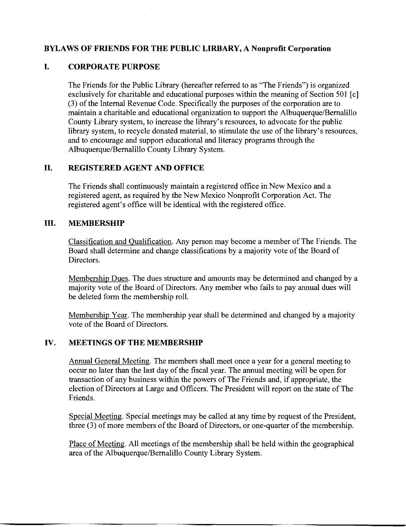## **BYLAWS OF FRIENDS FOR THE PUBLIC LIRBARY, A Nonprofit Corporation**

## **I. CORPORATE PURPOSE**

The Friends for the Public Library (hereafter referred to as "The Friends") is organized exclusively for charitable and educational purposes within the meaning of Section 501 [c] (3) of the Internal Revenue Code. Specifically the purposes of the corporation are to maintain a charitable and educational organization to support the Albuquerque/Bernalillo County Library system, to increase the library's resources, to advocate for the public library system, to recycle donated material, to stimulate the use of the library's resources, and to encourage and support educational and literacy programs through the Albuquerque/Bernalillo County Library System.

## **II. REGISTERED AGENT AND OFFICE**

The Friends shall continuously maintain a registered office in New Mexico and a registered agent, as required by the New Mexico Nonprofit Corporation Act. The registered agent's office will be identical with the registered office.

## **III. MEMBERSHIP**

Classification and Qualification. Any person may become a member of The Friends. The Board shall determine and change classifications by a majority vote of the Board of Directors.

Membership Dues. The dues structure and amounts may be determined and changed by a majority vote of the Board of Directors. Any member who fails to pay annual dues will be deleted form the membership roll.

Membership Year. The membership year shall be determined and changed by a majority vote of the Board of Directors.

## **IV. MEETINGS OF THE MEMBERSHIP**

Annual General Meeting. The members shall meet once a year for a general meeting to occur no later than the last day of the fiscal year. The annual meeting will be open for transaction of any business within the powers of The Friends and, if appropriate, the election of Directors at Large and Officers. The President will report on the state of The Friends.

Special Meeting. Special meetings may be called at any time by request of the President, three (3) of more members of the Board of Directors, or one-quarter of the membership.

Place of Meeting. All meetings of the membership shall be held within the geographical area of the Albuquerque/Bernalillo County Library System.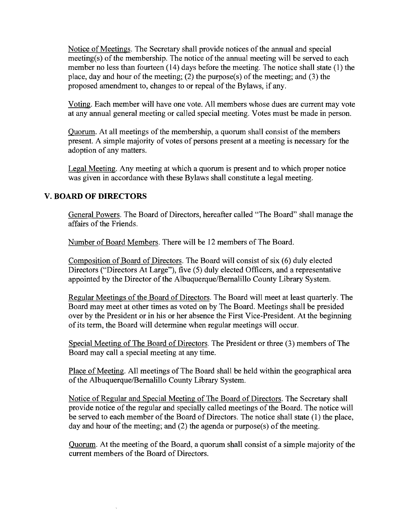Notice of Meetings. The Secretary shall provide notices of the annual and special meeting(s) of the membership. The notice of the annual meeting will be served to each member no less than fourteen (14) days before the meeting. The notice shall state (I) the place, day and hour of the meeting; (2) the purpose(s) of the meeting; and (3) the proposed amendment to, changes to or repeal of the Bylaws, if any.

Voting. Each member will have one vote. All members whose dues are current may vote at any annual general meeting or called special meeting. Votes must be made in person.

Quorum. At all meetings of the membership, a quorum shall consist of the members present. A simple majority of votes of persons present at a meeting is necessary for the adoption of any matters.

Legal Meeting. Any meeting at which a quorum is present and to which proper notice was given in accordance with these Bylaws shall constitute a legal meeting.

# **v. BOARD OF DIRECTORS**

General Powers. The Board of Directors, hereafter called "The Board" shall manage the affairs of the Friends.

Number of Board Members. There will be 12 members of The Board.

Composition of Board of Directors. The Board will consist of six (6) duly elected Directors ("Directors At Large"), five (5) duly elected Officers, and a representative appointed by the Director of the Albuquerque/Bernalillo County Library System.

Regular Meetings of the Board of Directors. The Board will meet at least quarterly. The Board may meet at other times as voted on by The Board. Meetings shall be presided over by the President or in his or her absence the First Vice-President. At the beginning of its term, the Board will determine when regular meetings will occur.

Special Meeting of The Board of Directors. The President or three (3) members of The Board may call a special meeting at any time.

Place of Meeting. All meetings of The Board shall be held within the geographical area of the Albuquerque/Bernalillo County Library System.

Notice of Regular and Special Meeting of The Board of Directors. The Secretary shall provide notice of the regular and specially called meetings of the Board. The notice will be served to each member of the Board of Directors. The notice shall state (1) the place, day and hour of the meeting; and (2) the agenda or purpose(s) of the meeting.

Quorum. At the meeting of the Board, a quorum shall consist of a simple majority of the current members of the Board of Directors.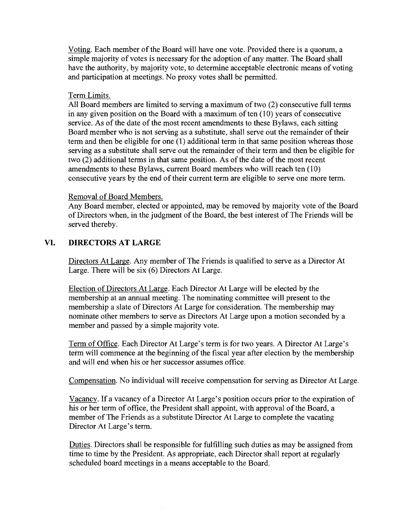Voting. Each member of the Board will have one vote. Provided there is a quorum, a simple majority of votes is necessary for the adoption of any matter. The Board shall have the authority, by majority vote, to determine acceptable electronic means of voting and participation at meetings. No proxy votes shall be permitted.

#### Term Limits.

All Board members are limited to serving a maximum of two (2) consecutive full terms in any given position on the Board with a maximum of ten  $(10)$  years of consecutive service. As of the date of the most recent amendments to these Bylaws, each sitting Board member who is not serving as a substitute, shall serve out the remainder of their term and then be eligible for one (1) additional term in that same position whereas those serving as a substitute shall serve out the remainder of their term and then be eligible for two  $(2)$  additional terms in that same position. As of the date of the most recent amendments to these Bylaws, current Board members who will reach ten (10) consecutive years by the end of their current term are eligible to serve one more term.

#### Removal of Board Members.

Any Board member, elected or appointed, may be removed by majority vote of the Board of Directors when, in the judgment of the Board, the best interest of The Friends will be served thereby.

## **VI. DIRECTORS AT LARGE**

Directors At Large. Any member of The Friends is qualified to serve as a Director At Large. There will be six (6) Directors At Large.

Election of Directors At Large. Each Director At Large will be elected by the membership at an annual meeting. The nominating committee will present to the membership a slate of Directors At Large for consideration. The membership may nominate other members to serve as Directors At Large upon a motion seconded by a member and passed by a simple majority vote.

Term of Office. Each Director At Large's term is for two years. A Director At Large's term will commence at the beginning of the fiscal year after election by the membership and will end when his or her successor assumes office.

Compensation. No individual will receive compensation for serving as Director At Large.

Vacancy. If a vacancy of a Director At Large's position occurs prior to the expiration of his or her term of office, the President shall appoint, with approval of the Board, a member of The Friends as a substitute Director At Large to complete the vacating Director At Large's term.

Duties. Directors shall be responsible for fulfilling such duties as may be assigned from time to time by the President. As appropriate, each Director shall report at regularly scheduled board meetings in a means acceptable to the Board.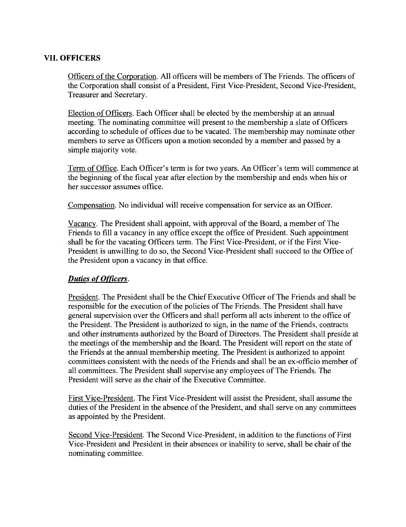#### VII. OFFICERS

Officers ofthe Corporation. All officers will be members of The Friends. The officers of the Corporation shall consist of a President, First Vice-President, Second Vice-President, Treasurer and Secretary.

Election of Officers. Each Officer shall be elected by the membership at an annual meeting. The nominating committee will present to the membership a slate of Officers according to schedule of offices due to be vacated. The membership may nominate other members to serve as Officers upon a motion seconded by a member and passed by a simple majority vote.

Term of Office. Each Officer's term is for two years. An Officer's term will commence at the beginning of the fiscal year after election by the membership and ends when his or her successor assumes office.

Compensation. No individual will receive compensation for service as an Officer.

Vacancy. The President shall appoint, with approval of the Board, a member of The Friends to fill a vacancy in any office except the office of President. Such appointment shall be for the vacating Officers term. The First Vice-President, or if the First Vice-President is unwilling to do so, the Second Vice-President shall succeed to the Office of the President upon a vacancy in that office.

#### **Duties of Officers.**

President. The President shall be the Chief Executive Officer of The Friends and shall be responsible for the execution of the policies of The Friends. The President shall have general supervision over the Officers and shall perform all acts inherent to the office of the President. The President is authorized to sign, in the name of the Friends, contracts and other instruments authorized by the Board of Directors. The President shall preside at the meetings of the membership and the Board. The President will report on the state of the Friends at the annual membership meeting. The President is authorized to appoint committees consistent with the needs of the Friends and shall be an ex-officio member of all committees. The President shall supervise any employees of The Friends. The President will serve as the chair of the Executive Committee.

First Vice-President. The First Vice-President will assist the President, shall assume the duties of the President in the absence of the President, and shall serve on any committees as appointed by the President.

Second Vice-President. The Second Vice-President, in addition to the functions of First Vice-President and President in their absences or inability to serve, shall be chair of the nominating committee.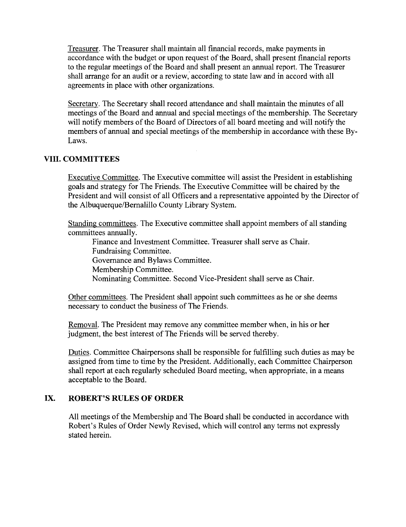Treasurer. The Treasurer shall maintain all financial records, make payments in accordance with the budget or upon request of the Board, shall present financial reports to the regular meetings of the Board and shall present an annual report. The Treasurer shall arrange for an audit or a review, according to state law and in accord with all agreements in place with other organizations.

Secretary. The Secretary shall record attendance and shall maintain the minutes of all meetings of the Board and annual and special meetings of the membership. The Secretary will notify members of the Board of Directors of all board meeting and will notify the members of annual and special meetings of the membership in accordance with these By-Laws.

#### **VIII. COMMITTEES**

Executive Committee. The Executive committee will assist the President in establishing goals and strategy for The Friends. The Executive Committee will be chaired by the President and will consist of all Officers and a representative appointed by the Director of the Albuquerque/Bernalillo County Library System.

Standing committees. The Executive committee shall appoint members of all standing committees annually.

Finance and Investment Committee. Treasurer shall serve as Chair. Fundraising Committee. Governance and Bylaws Committee. Membership Committee. Nominating Committee. Second Vice-President shall serve as Chair.

Other committees. The President shall appoint such committees as he or she deems necessary to conduct the business of The Friends.

Removal. The President may remove any committee member when, in his or her judgment, the best interest of The Friends will be served thereby.

Duties. Committee Chairpersons shall be responsible for fulfilling such duties as may be assigned from time to time by the President. Additionally, each Committee Chairperson shall report at each regularly scheduled Board meeting, when appropriate, in a means acceptable to the Board.

## **IX. ROBERT'S RULES OF ORDER**

All meetings of the Membership and The Board shall be conducted in accordance with Robert's Rules of Order Newly Revised, which will control any terms not expressly stated herein.